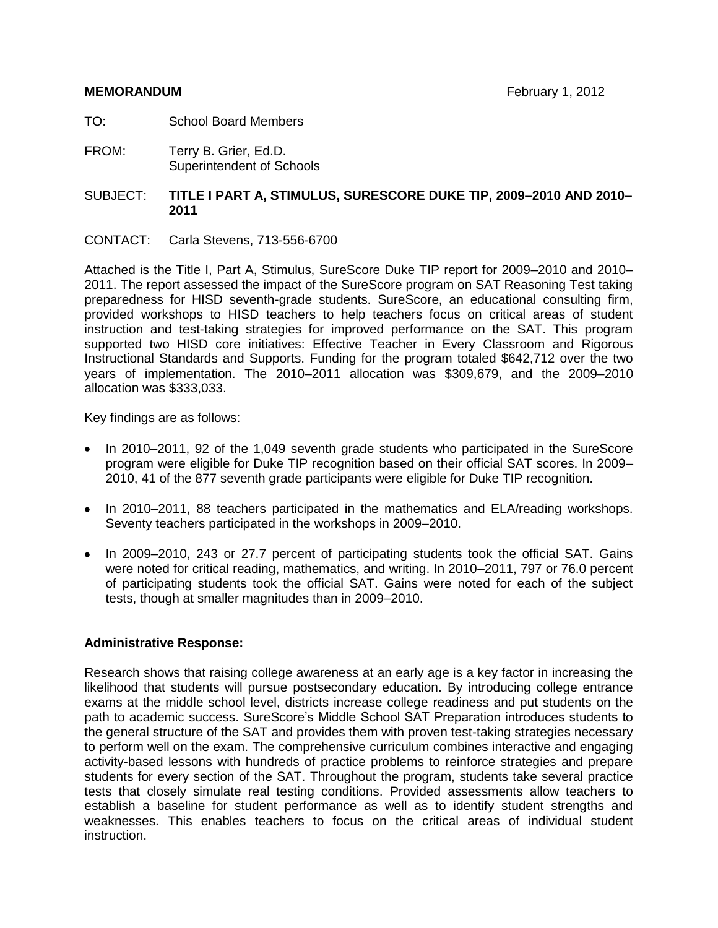- TO: School Board Members
- FROM: Terry B. Grier, Ed.D. Superintendent of Schools
- SUBJECT: **TITLE I PART A, STIMULUS, SURESCORE DUKE TIP, 2009–2010 AND 2010– 2011**
- CONTACT: Carla Stevens, 713-556-6700

Attached is the Title I, Part A, Stimulus, SureScore Duke TIP report for 2009–2010 and 2010– 2011. The report assessed the impact of the SureScore program on SAT Reasoning Test taking preparedness for HISD seventh-grade students. SureScore, an educational consulting firm, provided workshops to HISD teachers to help teachers focus on critical areas of student instruction and test-taking strategies for improved performance on the SAT. This program supported two HISD core initiatives: Effective Teacher in Every Classroom and Rigorous Instructional Standards and Supports. Funding for the program totaled \$642,712 over the two years of implementation. The 2010–2011 allocation was \$309,679, and the 2009–2010 allocation was \$333,033.

Key findings are as follows:

- In 2010–2011, 92 of the 1,049 seventh grade students who participated in the SureScore program were eligible for Duke TIP recognition based on their official SAT scores. In 2009– 2010, 41 of the 877 seventh grade participants were eligible for Duke TIP recognition.
- In 2010–2011, 88 teachers participated in the mathematics and ELA/reading workshops. Seventy teachers participated in the workshops in 2009–2010.
- In 2009–2010, 243 or 27.7 percent of participating students took the official SAT. Gains were noted for critical reading, mathematics, and writing. In 2010–2011, 797 or 76.0 percent of participating students took the official SAT. Gains were noted for each of the subject tests, though at smaller magnitudes than in 2009–2010.

## **Administrative Response:**

Research shows that raising college awareness at an early age is a key factor in increasing the likelihood that students will pursue postsecondary education. By introducing college entrance exams at the middle school level, districts increase college readiness and put students on the path to academic success. SureScore's Middle School SAT Preparation introduces students to the general structure of the SAT and provides them with proven test-taking strategies necessary to perform well on the exam. The comprehensive curriculum combines interactive and engaging activity-based lessons with hundreds of practice problems to reinforce strategies and prepare students for every section of the SAT. Throughout the program, students take several practice tests that closely simulate real testing conditions. Provided assessments allow teachers to establish a baseline for student performance as well as to identify student strengths and weaknesses. This enables teachers to focus on the critical areas of individual student instruction.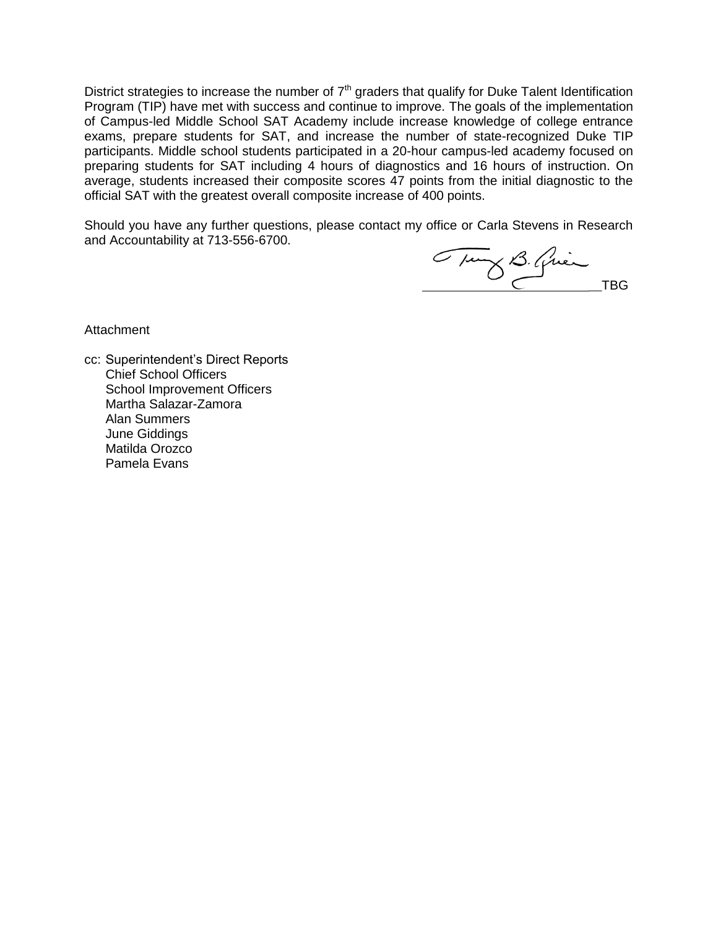District strategies to increase the number of  $7<sup>th</sup>$  graders that qualify for Duke Talent Identification Program (TIP) have met with success and continue to improve. The goals of the implementation of Campus-led Middle School SAT Academy include increase knowledge of college entrance exams, prepare students for SAT, and increase the number of state-recognized Duke TIP participants. Middle school students participated in a 20-hour campus-led academy focused on preparing students for SAT including 4 hours of diagnostics and 16 hours of instruction. On average, students increased their composite scores 47 points from the initial diagnostic to the official SAT with the greatest overall composite increase of 400 points.

Should you have any further questions, please contact my office or Carla Stevens in Research and Accountability at 713-556-6700.

Tury B. Qui

**Attachment** 

cc: Superintendent's Direct Reports Chief School Officers School Improvement Officers Martha Salazar-Zamora Alan Summers June Giddings Matilda Orozco Pamela Evans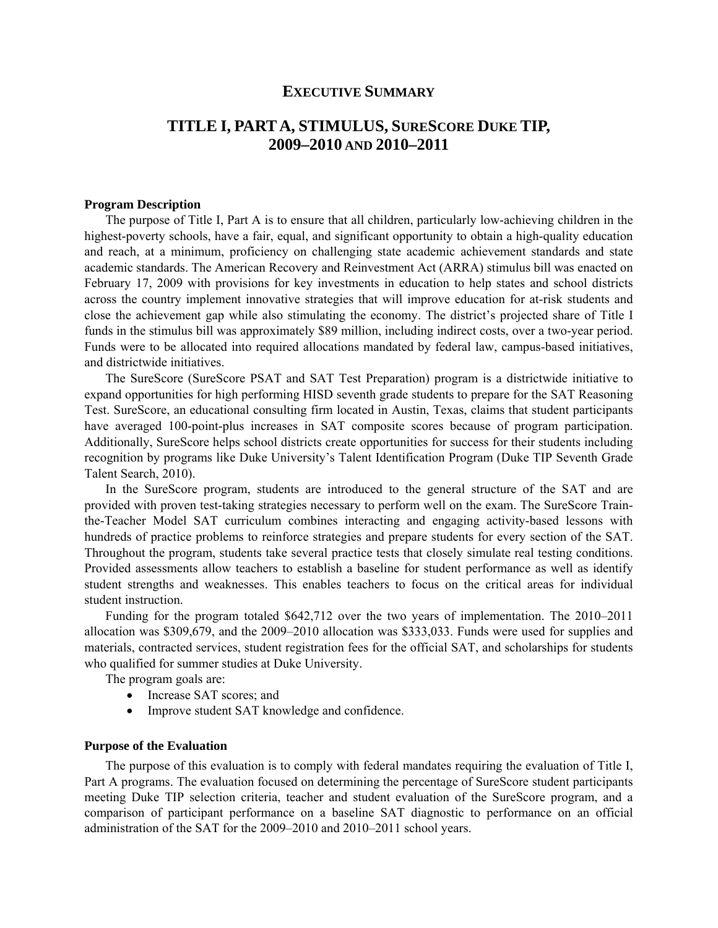## **EXECUTIVE SUMMARY**

# **TITLE I, PARTA, STIMULUS, SURESCORE DUKE TIP, 2009–2010 AND 2010–2011**

#### **Program Description**

The purpose of Title I, Part A is to ensure that all children, particularly low-achieving children in the highest-poverty schools, have a fair, equal, and significant opportunity to obtain a high-quality education and reach, at a minimum, proficiency on challenging state academic achievement standards and state academic standards. The American Recovery and Reinvestment Act (ARRA) stimulus bill was enacted on February 17, 2009 with provisions for key investments in education to help states and school districts across the country implement innovative strategies that will improve education for at-risk students and close the achievement gap while also stimulating the economy. The district's projected share of Title I funds in the stimulus bill was approximately \$89 million, including indirect costs, over a two-year period. Funds were to be allocated into required allocations mandated by federal law, campus-based initiatives, and districtwide initiatives.

The SureScore (SureScore PSAT and SAT Test Preparation) program is a districtwide initiative to expand opportunities for high performing HISD seventh grade students to prepare for the SAT Reasoning Test. SureScore, an educational consulting firm located in Austin, Texas, claims that student participants have averaged 100-point-plus increases in SAT composite scores because of program participation. Additionally, SureScore helps school districts create opportunities for success for their students including recognition by programs like Duke University's Talent Identification Program (Duke TIP Seventh Grade Talent Search, 2010).

In the SureScore program, students are introduced to the general structure of the SAT and are provided with proven test-taking strategies necessary to perform well on the exam. The SureScore Trainthe-Teacher Model SAT curriculum combines interacting and engaging activity-based lessons with hundreds of practice problems to reinforce strategies and prepare students for every section of the SAT. Throughout the program, students take several practice tests that closely simulate real testing conditions. Provided assessments allow teachers to establish a baseline for student performance as well as identify student strengths and weaknesses. This enables teachers to focus on the critical areas for individual student instruction.

Funding for the program totaled \$642,712 over the two years of implementation. The 2010–2011 allocation was \$309,679, and the 2009–2010 allocation was \$333,033. Funds were used for supplies and materials, contracted services, student registration fees for the official SAT, and scholarships for students who qualified for summer studies at Duke University.

The program goals are:

- Increase SAT scores; and
- Improve student SAT knowledge and confidence.

## **Purpose of the Evaluation**

The purpose of this evaluation is to comply with federal mandates requiring the evaluation of Title I, Part A programs. The evaluation focused on determining the percentage of SureScore student participants meeting Duke TIP selection criteria, teacher and student evaluation of the SureScore program, and a comparison of participant performance on a baseline SAT diagnostic to performance on an official administration of the SAT for the 2009–2010 and 2010–2011 school years.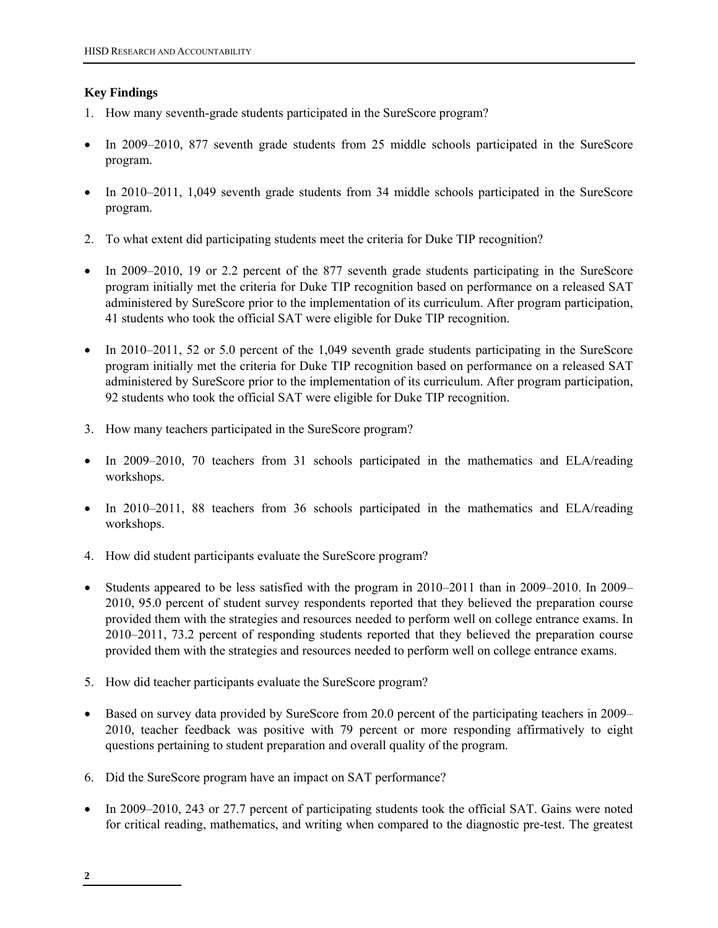## **Key Findings**

- 1. How many seventh-grade students participated in the SureScore program?
- In 2009–2010, 877 seventh grade students from 25 middle schools participated in the SureScore program.
- In 2010–2011, 1,049 seventh grade students from 34 middle schools participated in the SureScore program.
- 2. To what extent did participating students meet the criteria for Duke TIP recognition?
- In 2009–2010, 19 or 2.2 percent of the 877 seventh grade students participating in the SureScore program initially met the criteria for Duke TIP recognition based on performance on a released SAT administered by SureScore prior to the implementation of its curriculum. After program participation, 41 students who took the official SAT were eligible for Duke TIP recognition.
- In 2010–2011, 52 or 5.0 percent of the 1,049 seventh grade students participating in the SureScore program initially met the criteria for Duke TIP recognition based on performance on a released SAT administered by SureScore prior to the implementation of its curriculum. After program participation, 92 students who took the official SAT were eligible for Duke TIP recognition.
- 3. How many teachers participated in the SureScore program?
- In 2009–2010, 70 teachers from 31 schools participated in the mathematics and ELA/reading workshops.
- In 2010–2011, 88 teachers from 36 schools participated in the mathematics and ELA/reading workshops.
- 4. How did student participants evaluate the SureScore program?
- Students appeared to be less satisfied with the program in 2010–2011 than in 2009–2010. In 2009– 2010, 95.0 percent of student survey respondents reported that they believed the preparation course provided them with the strategies and resources needed to perform well on college entrance exams. In 2010–2011, 73.2 percent of responding students reported that they believed the preparation course provided them with the strategies and resources needed to perform well on college entrance exams.
- 5. How did teacher participants evaluate the SureScore program?
- Based on survey data provided by SureScore from 20.0 percent of the participating teachers in 2009– 2010, teacher feedback was positive with 79 percent or more responding affirmatively to eight questions pertaining to student preparation and overall quality of the program.
- 6. Did the SureScore program have an impact on SAT performance?
- In 2009–2010, 243 or 27.7 percent of participating students took the official SAT. Gains were noted for critical reading, mathematics, and writing when compared to the diagnostic pre-test. The greatest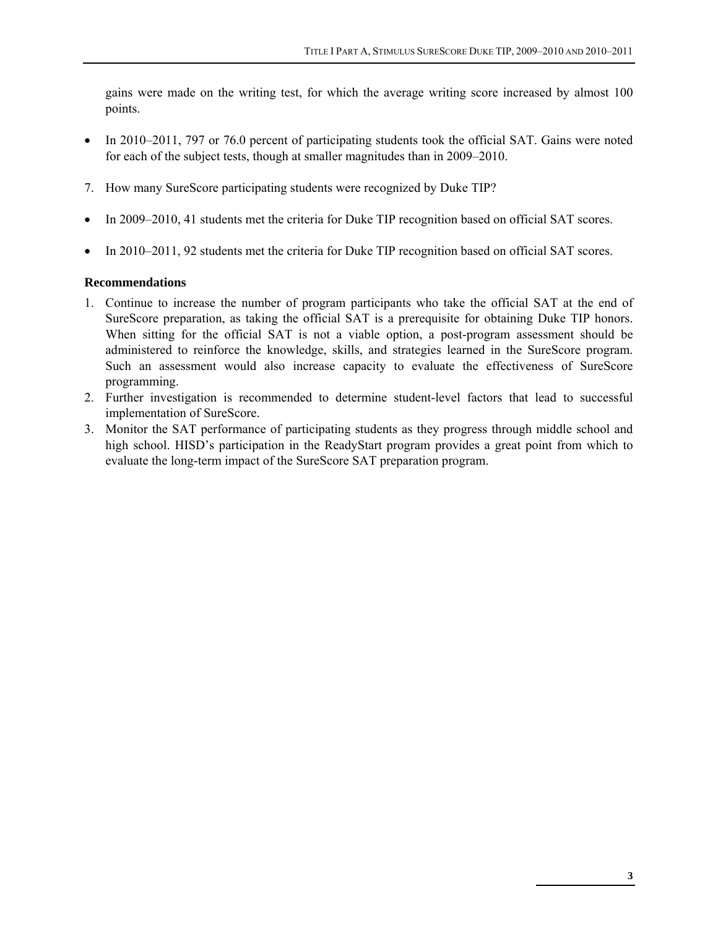gains were made on the writing test, for which the average writing score increased by almost 100 points.

- In 2010–2011, 797 or 76.0 percent of participating students took the official SAT. Gains were noted for each of the subject tests, though at smaller magnitudes than in 2009–2010.
- 7. How many SureScore participating students were recognized by Duke TIP?
- In 2009–2010, 41 students met the criteria for Duke TIP recognition based on official SAT scores.
- In 2010–2011, 92 students met the criteria for Duke TIP recognition based on official SAT scores.

## **Recommendations**

- 1. Continue to increase the number of program participants who take the official SAT at the end of SureScore preparation, as taking the official SAT is a prerequisite for obtaining Duke TIP honors. When sitting for the official SAT is not a viable option, a post-program assessment should be administered to reinforce the knowledge, skills, and strategies learned in the SureScore program. Such an assessment would also increase capacity to evaluate the effectiveness of SureScore programming.
- 2. Further investigation is recommended to determine student-level factors that lead to successful implementation of SureScore.
- 3. Monitor the SAT performance of participating students as they progress through middle school and high school. HISD's participation in the ReadyStart program provides a great point from which to evaluate the long-term impact of the SureScore SAT preparation program.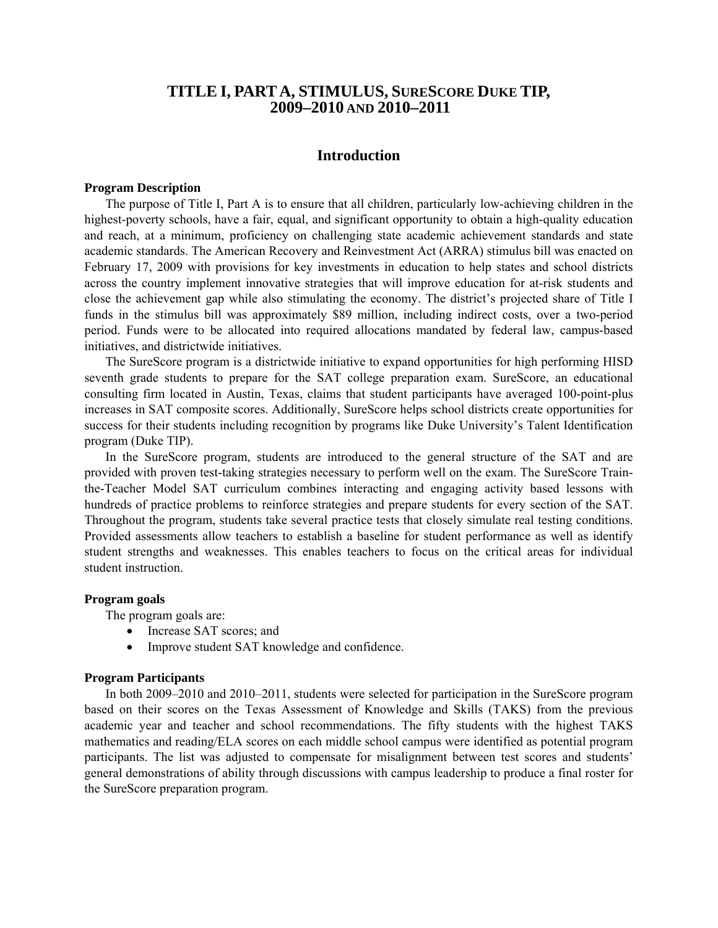## **TITLE I, PARTA, STIMULUS, SURESCORE DUKE TIP, 2009–2010 AND 2010–2011**

## **Introduction**

## **Program Description**

The purpose of Title I, Part A is to ensure that all children, particularly low-achieving children in the highest-poverty schools, have a fair, equal, and significant opportunity to obtain a high-quality education and reach, at a minimum, proficiency on challenging state academic achievement standards and state academic standards. The American Recovery and Reinvestment Act (ARRA) stimulus bill was enacted on February 17, 2009 with provisions for key investments in education to help states and school districts across the country implement innovative strategies that will improve education for at-risk students and close the achievement gap while also stimulating the economy. The district's projected share of Title I funds in the stimulus bill was approximately \$89 million, including indirect costs, over a two-period period. Funds were to be allocated into required allocations mandated by federal law, campus-based initiatives, and districtwide initiatives.

The SureScore program is a districtwide initiative to expand opportunities for high performing HISD seventh grade students to prepare for the SAT college preparation exam. SureScore, an educational consulting firm located in Austin, Texas, claims that student participants have averaged 100-point-plus increases in SAT composite scores. Additionally, SureScore helps school districts create opportunities for success for their students including recognition by programs like Duke University's Talent Identification program (Duke TIP).

In the SureScore program, students are introduced to the general structure of the SAT and are provided with proven test-taking strategies necessary to perform well on the exam. The SureScore Trainthe-Teacher Model SAT curriculum combines interacting and engaging activity based lessons with hundreds of practice problems to reinforce strategies and prepare students for every section of the SAT. Throughout the program, students take several practice tests that closely simulate real testing conditions. Provided assessments allow teachers to establish a baseline for student performance as well as identify student strengths and weaknesses. This enables teachers to focus on the critical areas for individual student instruction.

#### **Program goals**

The program goals are:

- Increase SAT scores; and
- Improve student SAT knowledge and confidence.

#### **Program Participants**

 In both 2009–2010 and 2010–2011, students were selected for participation in the SureScore program based on their scores on the Texas Assessment of Knowledge and Skills (TAKS) from the previous academic year and teacher and school recommendations. The fifty students with the highest TAKS mathematics and reading/ELA scores on each middle school campus were identified as potential program participants. The list was adjusted to compensate for misalignment between test scores and students' general demonstrations of ability through discussions with campus leadership to produce a final roster for the SureScore preparation program.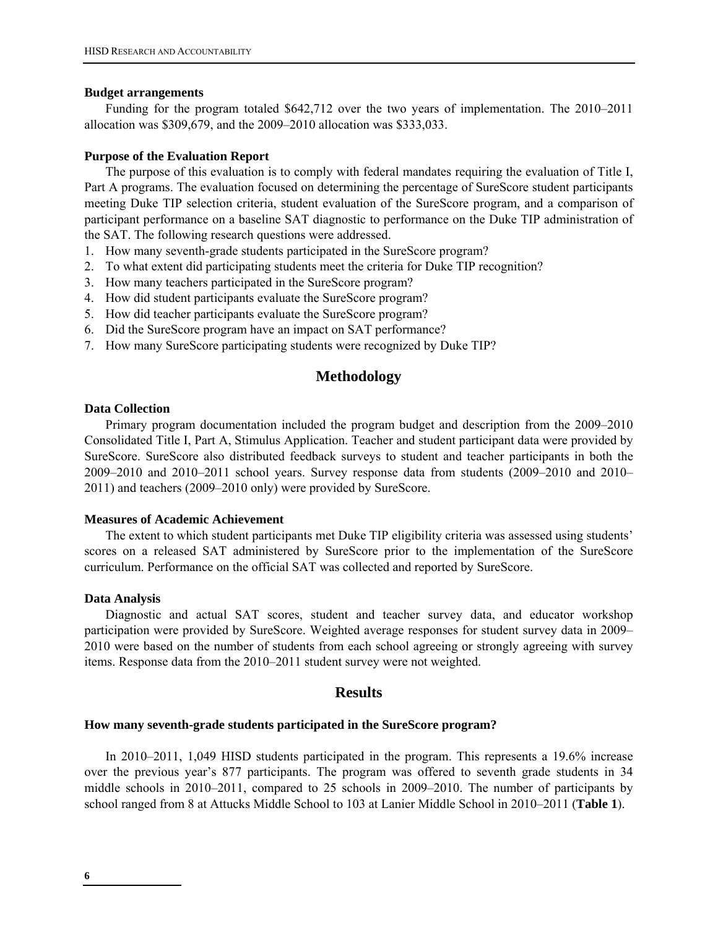#### **Budget arrangements**

Funding for the program totaled \$642,712 over the two years of implementation. The 2010–2011 allocation was \$309,679, and the 2009–2010 allocation was \$333,033.

#### **Purpose of the Evaluation Report**

The purpose of this evaluation is to comply with federal mandates requiring the evaluation of Title I, Part A programs. The evaluation focused on determining the percentage of SureScore student participants meeting Duke TIP selection criteria, student evaluation of the SureScore program, and a comparison of participant performance on a baseline SAT diagnostic to performance on the Duke TIP administration of the SAT. The following research questions were addressed.

- 1. How many seventh-grade students participated in the SureScore program?
- 2. To what extent did participating students meet the criteria for Duke TIP recognition?
- 3. How many teachers participated in the SureScore program?
- 4. How did student participants evaluate the SureScore program?
- 5. How did teacher participants evaluate the SureScore program?
- 6. Did the SureScore program have an impact on SAT performance?
- 7. How many SureScore participating students were recognized by Duke TIP?

## **Methodology**

## **Data Collection**

Primary program documentation included the program budget and description from the 2009–2010 Consolidated Title I, Part A, Stimulus Application. Teacher and student participant data were provided by SureScore. SureScore also distributed feedback surveys to student and teacher participants in both the 2009–2010 and 2010–2011 school years. Survey response data from students (2009–2010 and 2010– 2011) and teachers (2009–2010 only) were provided by SureScore.

## **Measures of Academic Achievement**

The extent to which student participants met Duke TIP eligibility criteria was assessed using students' scores on a released SAT administered by SureScore prior to the implementation of the SureScore curriculum. Performance on the official SAT was collected and reported by SureScore.

#### **Data Analysis**

Diagnostic and actual SAT scores, student and teacher survey data, and educator workshop participation were provided by SureScore. Weighted average responses for student survey data in 2009– 2010 were based on the number of students from each school agreeing or strongly agreeing with survey items. Response data from the 2010–2011 student survey were not weighted.

## **Results**

#### **How many seventh-grade students participated in the SureScore program?**

In 2010–2011, 1,049 HISD students participated in the program. This represents a 19.6% increase over the previous year's 877 participants. The program was offered to seventh grade students in 34 middle schools in 2010–2011, compared to 25 schools in 2009–2010. The number of participants by school ranged from 8 at Attucks Middle School to 103 at Lanier Middle School in 2010–2011 (**Table 1**).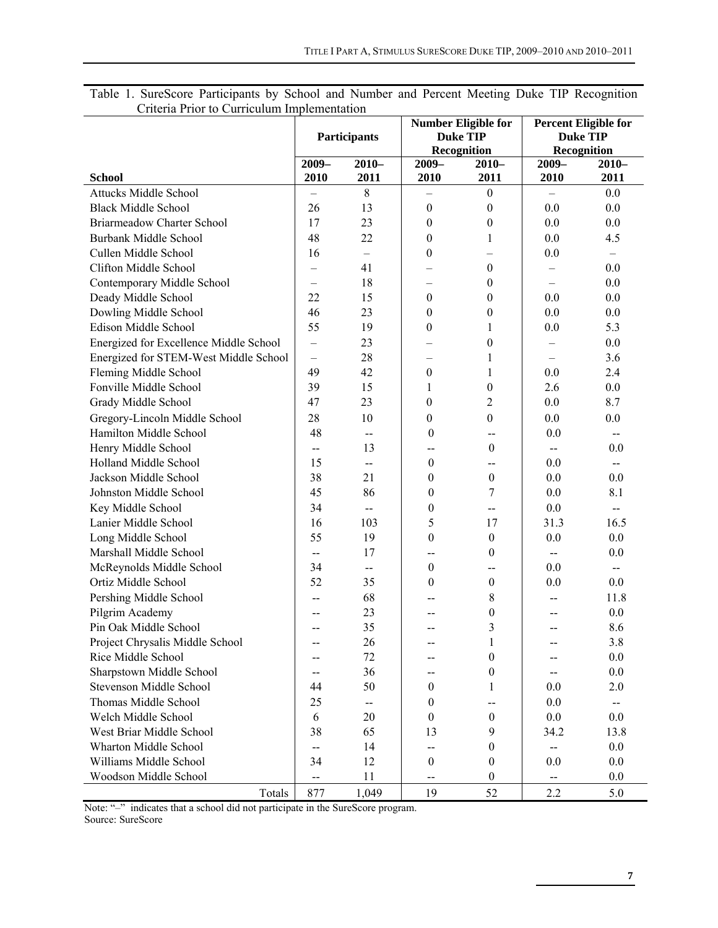|                                        | <b>Participants</b>      |                          |                    | <b>Number Eligible for</b><br><b>Duke TIP</b><br>Recognition | <b>Percent Eligible for</b><br><b>Duke TIP</b><br>Recognition |                          |
|----------------------------------------|--------------------------|--------------------------|--------------------|--------------------------------------------------------------|---------------------------------------------------------------|--------------------------|
|                                        | $2009-$<br>$2010-$       |                          | $2009-$<br>$2010-$ |                                                              | $2009 -$                                                      | $2010-$                  |
| <b>School</b>                          | 2010                     | 2011                     | 2010               | 2011                                                         | 2010                                                          | 2011                     |
| <b>Attucks Middle School</b>           |                          | 8                        |                    | $\boldsymbol{0}$                                             |                                                               | 0.0                      |
| <b>Black Middle School</b>             | 26                       | 13                       | $\boldsymbol{0}$   | $\boldsymbol{0}$                                             | 0.0                                                           | 0.0                      |
| <b>Briarmeadow Charter School</b>      | 17                       | 23                       | $\boldsymbol{0}$   | $\boldsymbol{0}$                                             | 0.0                                                           | 0.0                      |
| <b>Burbank Middle School</b>           | 48                       | 22                       | 0                  | $\mathbf{1}$                                                 | 0.0                                                           | 4.5                      |
| Cullen Middle School                   | 16                       | $\equiv$                 | 0                  |                                                              | 0.0                                                           | $\overline{\phantom{m}}$ |
| Clifton Middle School                  |                          | 41                       |                    | $\boldsymbol{0}$                                             |                                                               | 0.0                      |
| Contemporary Middle School             | $\qquad \qquad -$        | 18                       | —                  | $\boldsymbol{0}$                                             | $\overline{\phantom{0}}$                                      | 0.0                      |
| Deady Middle School                    | 22                       | 15                       | $\boldsymbol{0}$   | $\boldsymbol{0}$                                             | 0.0                                                           | $0.0\,$                  |
| Dowling Middle School                  | 46                       | 23                       | 0                  | $\boldsymbol{0}$                                             | 0.0                                                           | 0.0                      |
| Edison Middle School                   | 55                       | 19                       | $\theta$           | $\mathbf{1}$                                                 | 0.0                                                           | 5.3                      |
| Energized for Excellence Middle School | $\qquad \qquad -$        | 23                       |                    | $\boldsymbol{0}$                                             |                                                               | 0.0                      |
| Energized for STEM-West Middle School  | $\qquad \qquad -$        | 28                       |                    | 1                                                            | $\qquad \qquad -$                                             | 3.6                      |
| Fleming Middle School                  | 49                       | 42                       | $\boldsymbol{0}$   | $\mathbf{1}$                                                 | 0.0                                                           | 2.4                      |
| Fonville Middle School                 | 39                       | 15                       | $\mathbf{1}$       | $\boldsymbol{0}$                                             | 2.6                                                           | 0.0                      |
| Grady Middle School                    | 47                       | 23                       | 0                  | $\overline{c}$                                               | 0.0                                                           | 8.7                      |
| Gregory-Lincoln Middle School          | 28                       | 10                       | 0                  | $\boldsymbol{0}$                                             | 0.0                                                           | 0.0                      |
| Hamilton Middle School                 | 48                       | $\overline{\phantom{a}}$ | $\boldsymbol{0}$   | --                                                           | $0.0\,$                                                       | $-$                      |
| Henry Middle School                    | $\overline{\phantom{a}}$ | 13                       | --                 | $\boldsymbol{0}$                                             | $-$                                                           | 0.0                      |
| Holland Middle School                  | 15                       | $\overline{\phantom{a}}$ | $\boldsymbol{0}$   | $-$                                                          | 0.0                                                           | $-$                      |
| Jackson Middle School                  | 38                       | 21                       | $\boldsymbol{0}$   | $\boldsymbol{0}$                                             | 0.0                                                           | 0.0                      |
| Johnston Middle School                 | 45                       | 86                       | $\boldsymbol{0}$   | 7                                                            | 0.0                                                           | 8.1                      |
| Key Middle School                      | 34                       | $\overline{\phantom{a}}$ | $\boldsymbol{0}$   | $\overline{\phantom{a}}$                                     | 0.0                                                           | $\overline{\phantom{a}}$ |
| Lanier Middle School                   | 16                       | 103                      | 5                  | 17                                                           | 31.3                                                          | 16.5                     |
| Long Middle School                     | 55                       | 19                       | $\boldsymbol{0}$   | $\boldsymbol{0}$                                             | 0.0                                                           | 0.0                      |
| Marshall Middle School                 | $\mathbf{--}$            | 17                       | --                 | $\mathbf{0}$                                                 | $-$                                                           | 0.0                      |
| McReynolds Middle School               | 34                       | $\overline{\phantom{a}}$ | $\boldsymbol{0}$   | --                                                           | 0.0                                                           | $-$                      |
| Ortiz Middle School                    | 52                       | 35                       | $\boldsymbol{0}$   | $\boldsymbol{0}$                                             | 0.0                                                           | 0.0                      |
| Pershing Middle School                 | --                       | 68                       |                    | 8                                                            | --                                                            | 11.8                     |
| Pilgrim Academy                        |                          | 23                       |                    | $\boldsymbol{0}$                                             |                                                               | 0.0                      |
| Pin Oak Middle School                  |                          | 35                       |                    | 3                                                            |                                                               | 8.6                      |
| Project Chrysalis Middle School        | $-$                      | 26                       | --                 | $\mathbf{1}$                                                 |                                                               | 3.8                      |
| Rice Middle School                     | --                       | 72                       |                    | $\boldsymbol{0}$                                             |                                                               | 0.0                      |
| Sharpstown Middle School               |                          | 36                       |                    | $\boldsymbol{0}$                                             |                                                               | $0.0\,$                  |
| Stevenson Middle School                | 44                       | 50                       | $\boldsymbol{0}$   | 1                                                            | 0.0                                                           | 2.0                      |
| Thomas Middle School                   | 25                       | $\sim$                   | $\boldsymbol{0}$   | $-$                                                          | 0.0                                                           | $\overline{\phantom{a}}$ |
| Welch Middle School                    | 6                        | 20                       | $\boldsymbol{0}$   | $\boldsymbol{0}$                                             | 0.0                                                           | 0.0                      |
| West Briar Middle School               | 38                       | 65                       | 13                 | 9                                                            | 34.2                                                          | 13.8                     |
| Wharton Middle School                  | $\overline{\phantom{a}}$ | 14                       | --                 | $\boldsymbol{0}$                                             | --                                                            | 0.0                      |
| Williams Middle School                 | 34                       | 12                       | $\boldsymbol{0}$   | $\boldsymbol{0}$                                             | 0.0                                                           | 0.0                      |
| Woodson Middle School                  | --                       | 11                       | --                 | $\boldsymbol{0}$                                             | $\overline{\phantom{a}}$                                      | $0.0\,$                  |
| Totals                                 | 877                      | 1,049                    | 19                 | 52                                                           | 2.2                                                           | 5.0                      |

Table 1. SureScore Participants by School and Number and Percent Meeting Duke TIP Recognition Criteria Prior to Curriculum Implementation

Note: "-" indicates that a school did not participate in the SureScore program.

Source: SureScore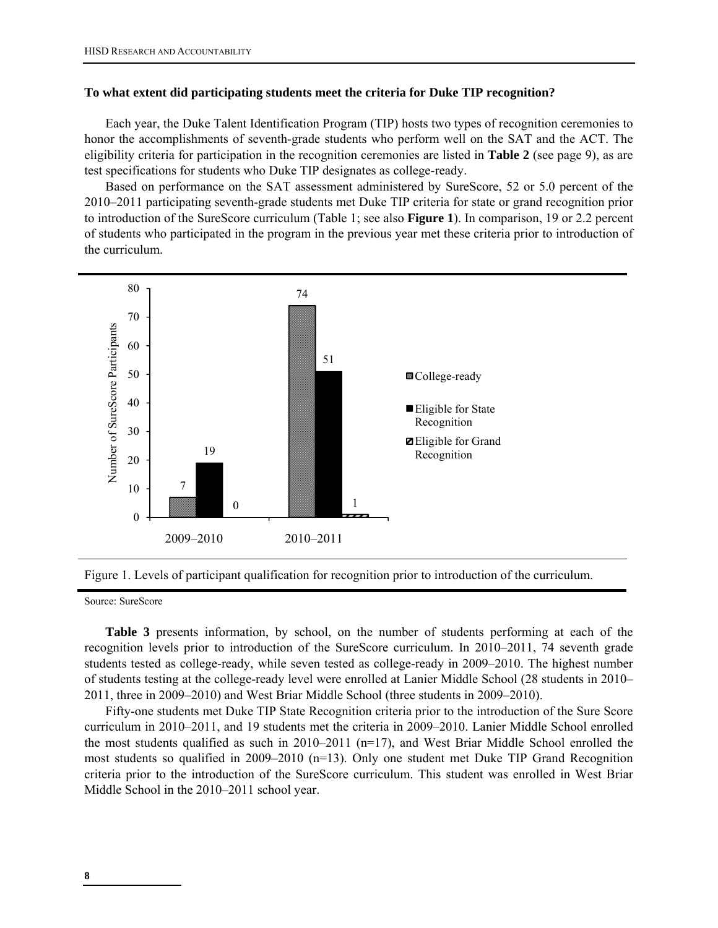#### **To what extent did participating students meet the criteria for Duke TIP recognition?**

Each year, the Duke Talent Identification Program (TIP) hosts two types of recognition ceremonies to honor the accomplishments of seventh-grade students who perform well on the SAT and the ACT. The eligibility criteria for participation in the recognition ceremonies are listed in **Table 2** (see page 9), as are test specifications for students who Duke TIP designates as college-ready.

Based on performance on the SAT assessment administered by SureScore, 52 or 5.0 percent of the 2010–2011 participating seventh-grade students met Duke TIP criteria for state or grand recognition prior to introduction of the SureScore curriculum (Table 1; see also **Figure 1**). In comparison, 19 or 2.2 percent of students who participated in the program in the previous year met these criteria prior to introduction of the curriculum.





Source: SureScore

**Table 3** presents information, by school, on the number of students performing at each of the recognition levels prior to introduction of the SureScore curriculum. In 2010–2011, 74 seventh grade students tested as college-ready, while seven tested as college-ready in 2009–2010. The highest number of students testing at the college-ready level were enrolled at Lanier Middle School (28 students in 2010– 2011, three in 2009–2010) and West Briar Middle School (three students in 2009–2010).

Fifty-one students met Duke TIP State Recognition criteria prior to the introduction of the Sure Score curriculum in 2010–2011, and 19 students met the criteria in 2009–2010. Lanier Middle School enrolled the most students qualified as such in 2010–2011 (n=17), and West Briar Middle School enrolled the most students so qualified in 2009–2010 (n=13). Only one student met Duke TIP Grand Recognition criteria prior to the introduction of the SureScore curriculum. This student was enrolled in West Briar Middle School in the 2010–2011 school year.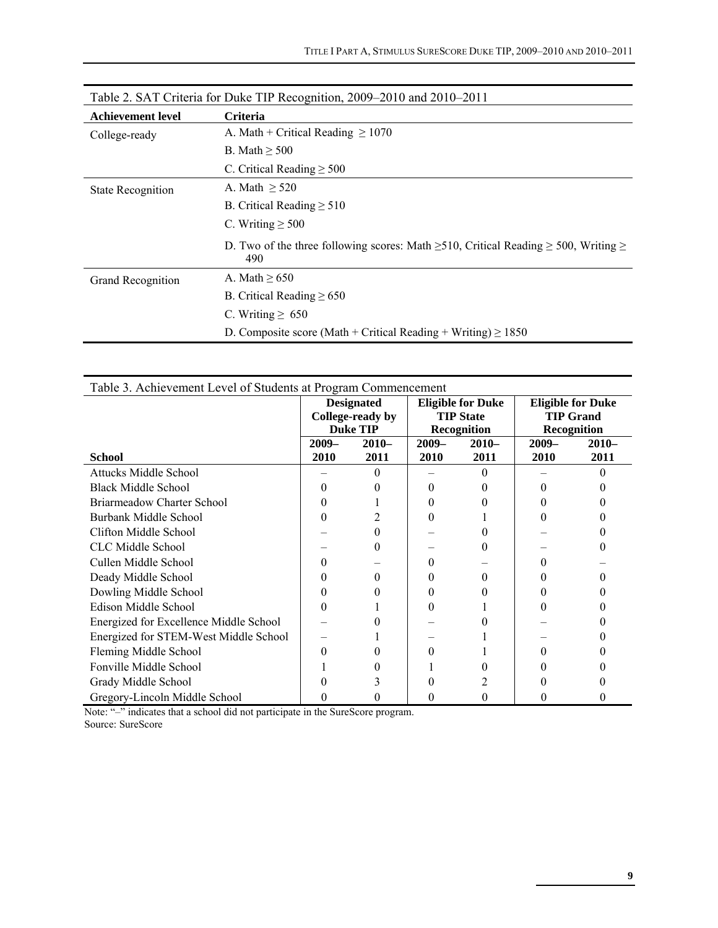|                          | Table 2. SAT Criteria for Duke TIP Recognition, 2009–2010 and 2010–2011                                     |
|--------------------------|-------------------------------------------------------------------------------------------------------------|
| <b>Achievement level</b> | <b>Criteria</b>                                                                                             |
| College-ready            | A. Math + Critical Reading $\geq 1070$                                                                      |
|                          | B. Math $\geq$ 500                                                                                          |
|                          | C. Critical Reading $\geq 500$                                                                              |
| <b>State Recognition</b> | A. Math $> 520$                                                                                             |
|                          | B. Critical Reading $\geq 510$                                                                              |
|                          | C. Writing $\geq 500$                                                                                       |
|                          | D. Two of the three following scores: Math $\geq 510$ , Critical Reading $\geq 500$ , Writing $\geq$<br>490 |
| Grand Recognition        | A. Math $\geq 650$                                                                                          |
|                          | B. Critical Reading $\geq 650$                                                                              |
|                          | C. Writing $\geq 650$                                                                                       |
|                          | D. Composite score (Math + Critical Reading + Writing) $\geq 1850$                                          |

|                   | Table 2. SAT Criteria for Duke TIP Recognition, 2009–2010 and 2010–2011 |
|-------------------|-------------------------------------------------------------------------|
| Achievement level | <b>Criteria</b>                                                         |

| Table 3. Achievement Level of Students at Program Commencement |                   |                  |                   |                          |                          |         |  |  |  |
|----------------------------------------------------------------|-------------------|------------------|-------------------|--------------------------|--------------------------|---------|--|--|--|
|                                                                | <b>Designated</b> |                  |                   | <b>Eligible for Duke</b> | <b>Eligible for Duke</b> |         |  |  |  |
|                                                                |                   | College-ready by | <b>TIP State</b>  |                          | <b>TIP Grand</b>         |         |  |  |  |
|                                                                |                   | <b>Duke TIP</b>  |                   | Recognition              | <b>Recognition</b>       |         |  |  |  |
|                                                                | $2009-$           | $2010-$          | $2009-$           | $2010-$                  | $2009-$                  | $2010-$ |  |  |  |
| <b>School</b>                                                  | 2010              | 2011             | 2010              | 2011                     | 2010                     | 2011    |  |  |  |
| <b>Attucks Middle School</b>                                   |                   | 0                |                   | 0                        |                          | 0       |  |  |  |
| <b>Black Middle School</b>                                     | $\theta$          |                  | $\theta$          |                          | $\theta$                 |         |  |  |  |
| Briarmeadow Charter School                                     | 0                 |                  | $\mathbf{0}$      |                          |                          |         |  |  |  |
| Burbank Middle School                                          | 0                 |                  | 0                 |                          | 0                        |         |  |  |  |
| Clifton Middle School                                          |                   |                  |                   |                          |                          |         |  |  |  |
| CLC Middle School                                              |                   |                  |                   | $\theta$                 |                          |         |  |  |  |
| Cullen Middle School                                           | $\theta$          |                  | $\mathbf{0}$      |                          | $\mathbf{0}$             |         |  |  |  |
| Deady Middle School                                            | $^{(1)}$          |                  | $_{0}$            | 0                        | $_{0}$                   |         |  |  |  |
| Dowling Middle School                                          | 0                 |                  | $\mathbf{\Omega}$ |                          | 0                        |         |  |  |  |
| Edison Middle School                                           | $\theta$          |                  | $\mathbf{0}$      |                          | 0                        |         |  |  |  |
| Energized for Excellence Middle School                         |                   |                  |                   |                          |                          |         |  |  |  |
| Energized for STEM-West Middle School                          |                   |                  |                   |                          |                          |         |  |  |  |
| Fleming Middle School                                          | 0                 |                  | 0                 |                          | 0                        |         |  |  |  |
| Fonville Middle School                                         |                   |                  |                   |                          |                          |         |  |  |  |
| Grady Middle School                                            |                   |                  |                   |                          |                          |         |  |  |  |
| Gregory-Lincoln Middle School                                  | $_{0}$            | 0                | $_{0}$            | $_{0}$                   | 0                        |         |  |  |  |

Note: "-" indicates that a school did not participate in the SureScore program. Source: SureScore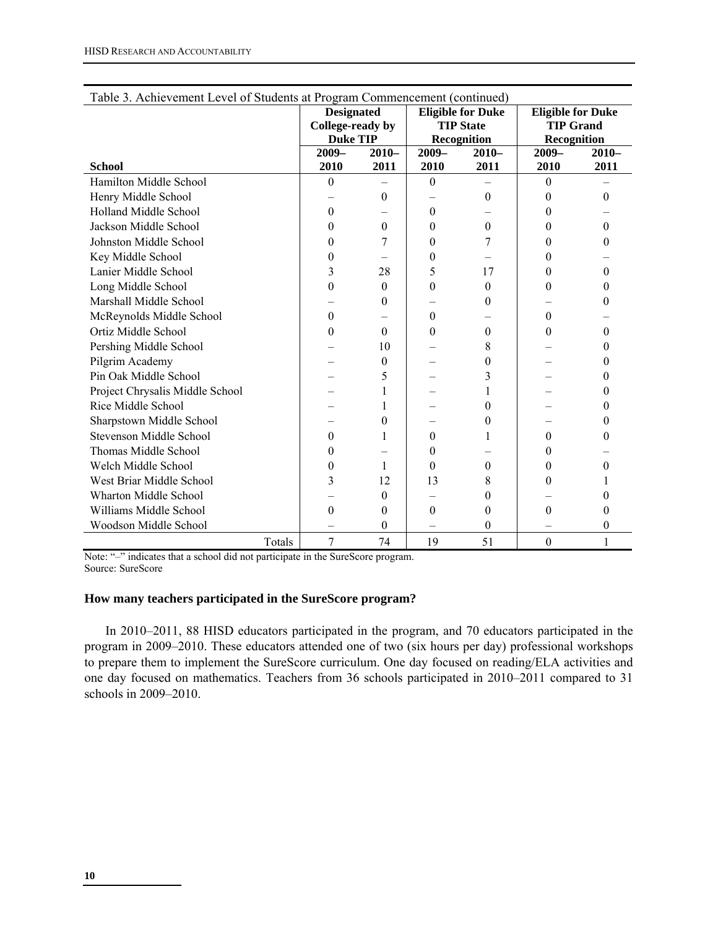| Table 3. Achievement Level of Students at Program Commencement (continued) |                  |                   |                  |                          |                          |              |  |  |  |
|----------------------------------------------------------------------------|------------------|-------------------|------------------|--------------------------|--------------------------|--------------|--|--|--|
|                                                                            |                  | <b>Designated</b> |                  | <b>Eligible for Duke</b> | <b>Eligible for Duke</b> |              |  |  |  |
|                                                                            |                  | College-ready by  |                  | <b>TIP State</b>         | <b>TIP Grand</b>         |              |  |  |  |
|                                                                            |                  | <b>Duke TIP</b>   |                  | Recognition              | Recognition              |              |  |  |  |
|                                                                            | $2009 -$         | $2010-$           | $2009 -$         | $2010-$                  | $2009 -$                 | $2010 -$     |  |  |  |
| <b>School</b>                                                              | 2010             | 2011              | 2010             | 2011                     | 2010                     | 2011         |  |  |  |
| Hamilton Middle School                                                     | $\boldsymbol{0}$ |                   | $\boldsymbol{0}$ |                          | $\mathbf{0}$             |              |  |  |  |
| Henry Middle School                                                        |                  | $\mathbf{0}$      |                  | $\theta$                 | $\theta$                 | $\Omega$     |  |  |  |
| Holland Middle School                                                      | 0                |                   | $\boldsymbol{0}$ |                          | 0                        |              |  |  |  |
| Jackson Middle School                                                      | $\theta$         | $\theta$          | $\theta$         | $\theta$                 | $\theta$                 | $\Omega$     |  |  |  |
| Johnston Middle School                                                     | $\theta$         | 7                 | $\theta$         | 7                        | 0                        | $\theta$     |  |  |  |
| Key Middle School                                                          | 0                |                   | $\theta$         |                          | 0                        |              |  |  |  |
| Lanier Middle School                                                       | 3                | 28                | 5                | 17                       | $\theta$                 | $\Omega$     |  |  |  |
| Long Middle School                                                         | $\boldsymbol{0}$ | $\theta$          | $\boldsymbol{0}$ | $\theta$                 | 0                        | $\theta$     |  |  |  |
| Marshall Middle School                                                     |                  | $\theta$          |                  | 0                        |                          | $\theta$     |  |  |  |
| McReynolds Middle School                                                   | $\theta$         |                   | $\theta$         |                          | $\theta$                 |              |  |  |  |
| Ortiz Middle School                                                        | $\theta$         | $\theta$          | $\theta$         | $\theta$                 | $\theta$                 | $\Omega$     |  |  |  |
| Pershing Middle School                                                     |                  | 10                |                  | 8                        |                          | $\theta$     |  |  |  |
| Pilgrim Academy                                                            |                  | 0                 |                  | 0                        |                          | $\theta$     |  |  |  |
| Pin Oak Middle School                                                      |                  | 5                 |                  | 3                        |                          | $\mathbf{0}$ |  |  |  |
| Project Chrysalis Middle School                                            |                  |                   |                  |                          |                          | $\theta$     |  |  |  |
| Rice Middle School                                                         |                  |                   |                  | $\theta$                 |                          | $\theta$     |  |  |  |
| Sharpstown Middle School                                                   |                  | $\theta$          |                  | 0                        |                          | $\theta$     |  |  |  |
| Stevenson Middle School                                                    | $\theta$         | 1                 | $\theta$         |                          | $\theta$                 | $\theta$     |  |  |  |
| Thomas Middle School                                                       | 0                |                   | $\theta$         |                          | 0                        |              |  |  |  |
| Welch Middle School                                                        | 0                | 1                 | $\theta$         | $\theta$                 | $\theta$                 | $\Omega$     |  |  |  |
| West Briar Middle School                                                   | 3                | 12                | 13               | 8                        | $\theta$                 |              |  |  |  |
| Wharton Middle School                                                      |                  | 0                 |                  | 0                        |                          | $\theta$     |  |  |  |
| Williams Middle School                                                     | $\theta$         | 0                 | $\theta$         | 0                        | $\theta$                 | 0            |  |  |  |
| Woodson Middle School                                                      |                  | 0                 |                  | $\theta$                 |                          | 0            |  |  |  |
| Totals                                                                     | 7                | 74                | 19               | 51                       | $\boldsymbol{0}$         | 1            |  |  |  |

Note: "–" indicates that a school did not participate in the SureScore program. Source: SureScore

## **How many teachers participated in the SureScore program?**

In 2010–2011, 88 HISD educators participated in the program, and 70 educators participated in the program in 2009–2010. These educators attended one of two (six hours per day) professional workshops to prepare them to implement the SureScore curriculum. One day focused on reading/ELA activities and one day focused on mathematics. Teachers from 36 schools participated in 2010–2011 compared to 31 schools in 2009–2010.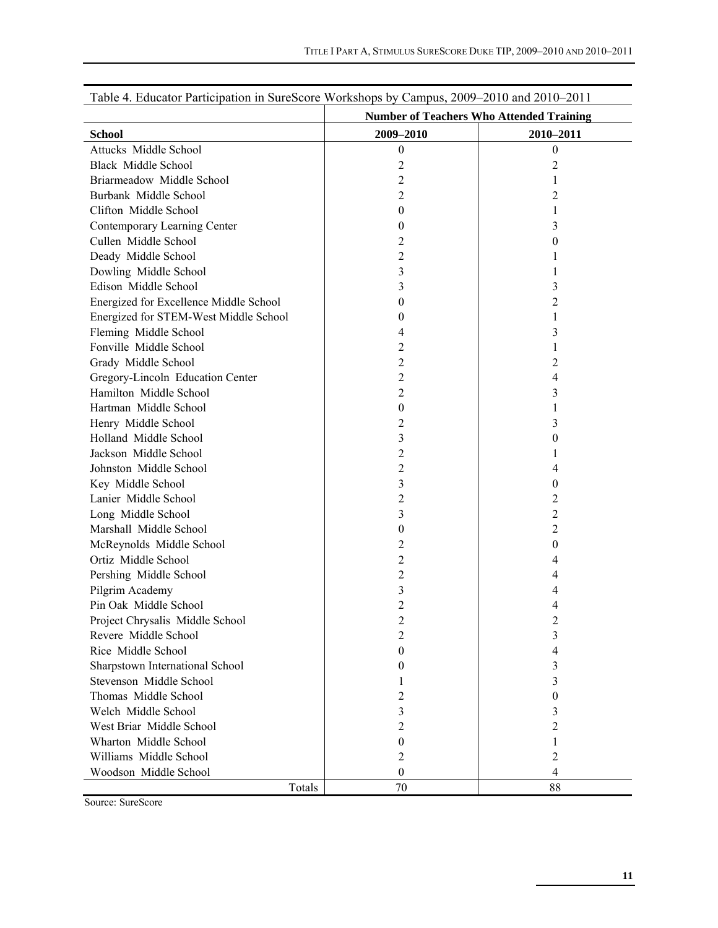| Table 4. Educator Participation in SureScore Workshops by Campus, 2009–2010 and 2010–2011 |                                                 |                  |  |  |  |  |  |
|-------------------------------------------------------------------------------------------|-------------------------------------------------|------------------|--|--|--|--|--|
|                                                                                           | <b>Number of Teachers Who Attended Training</b> |                  |  |  |  |  |  |
| <b>School</b>                                                                             | 2009-2010                                       | 2010-2011        |  |  |  |  |  |
| Attucks Middle School                                                                     | $\theta$                                        | $\boldsymbol{0}$ |  |  |  |  |  |
| <b>Black Middle School</b>                                                                | 2                                               | 2                |  |  |  |  |  |
| Briarmeadow Middle School                                                                 | 2                                               |                  |  |  |  |  |  |
| Burbank Middle School                                                                     | $\overline{c}$                                  | 2                |  |  |  |  |  |
| Clifton Middle School                                                                     | 0                                               | 1                |  |  |  |  |  |
| Contemporary Learning Center                                                              | 0                                               | 3                |  |  |  |  |  |
| Cullen Middle School                                                                      | 2                                               | 0                |  |  |  |  |  |
| Deady Middle School                                                                       | 2                                               |                  |  |  |  |  |  |
| Dowling Middle School                                                                     | 3                                               |                  |  |  |  |  |  |
| Edison Middle School                                                                      | 3                                               | 3                |  |  |  |  |  |
| Energized for Excellence Middle School                                                    | 0                                               | $\overline{c}$   |  |  |  |  |  |
| Energized for STEM-West Middle School                                                     | 0                                               |                  |  |  |  |  |  |
| Fleming Middle School                                                                     | 4                                               | 3                |  |  |  |  |  |
| Fonville Middle School                                                                    | 2                                               | 1                |  |  |  |  |  |
| Grady Middle School                                                                       | 2                                               | 2                |  |  |  |  |  |
| Gregory-Lincoln Education Center                                                          | 2                                               | 4                |  |  |  |  |  |
| Hamilton Middle School                                                                    | 2                                               | 3                |  |  |  |  |  |
| Hartman Middle School                                                                     | 0                                               |                  |  |  |  |  |  |
| Henry Middle School                                                                       | 2                                               | 3                |  |  |  |  |  |
| Holland Middle School                                                                     | 3                                               | 0                |  |  |  |  |  |
| Jackson Middle School                                                                     | 2                                               |                  |  |  |  |  |  |
| Johnston Middle School                                                                    | $\overline{c}$                                  | 4                |  |  |  |  |  |
| Key Middle School                                                                         | 3                                               | 0                |  |  |  |  |  |
| Lanier Middle School                                                                      | 2                                               | 2                |  |  |  |  |  |
| Long Middle School                                                                        | 3                                               | 2                |  |  |  |  |  |
| Marshall Middle School                                                                    | 0                                               | 2                |  |  |  |  |  |
| McReynolds Middle School                                                                  | 2                                               | 0                |  |  |  |  |  |
| Ortiz Middle School                                                                       | 2                                               | 4                |  |  |  |  |  |
| Pershing Middle School                                                                    | $\overline{c}$                                  | 4                |  |  |  |  |  |
| Pilgrim Academy                                                                           | 3                                               | 4                |  |  |  |  |  |
| Pin Oak Middle School                                                                     | 2                                               | 4                |  |  |  |  |  |
| Project Chrysalis Middle School                                                           | 2                                               | $\overline{2}$   |  |  |  |  |  |
| Revere Middle School                                                                      | 2                                               | 3                |  |  |  |  |  |
| Rice Middle School                                                                        | 0                                               | 4                |  |  |  |  |  |
| Sharpstown International School                                                           | 0                                               | 3                |  |  |  |  |  |
| Stevenson Middle School                                                                   |                                                 | 3                |  |  |  |  |  |
| Thomas Middle School                                                                      | 2                                               | 0                |  |  |  |  |  |
| Welch Middle School                                                                       | 3                                               | 3                |  |  |  |  |  |
| West Briar Middle School                                                                  | 2                                               | 2                |  |  |  |  |  |
| Wharton Middle School                                                                     | 0                                               | 1                |  |  |  |  |  |
| Williams Middle School                                                                    | 2                                               | 2                |  |  |  |  |  |
| Woodson Middle School                                                                     | $\theta$                                        | 4                |  |  |  |  |  |
| Totals                                                                                    | 70                                              | 88               |  |  |  |  |  |

Source: SureScore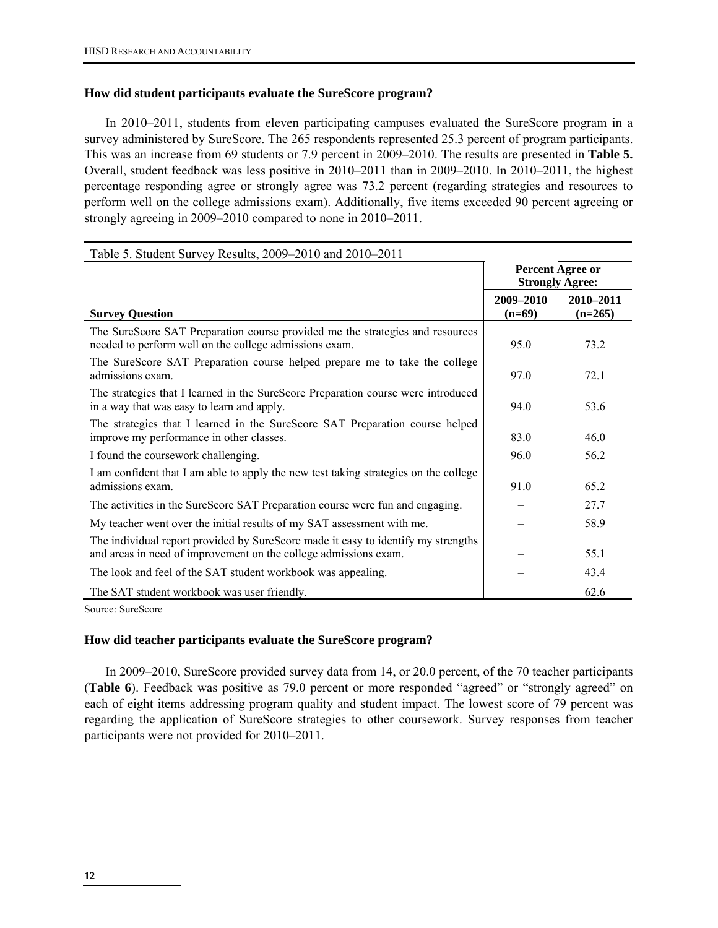## **How did student participants evaluate the SureScore program?**

In 2010–2011, students from eleven participating campuses evaluated the SureScore program in a survey administered by SureScore. The 265 respondents represented 25.3 percent of program participants. This was an increase from 69 students or 7.9 percent in 2009–2010. The results are presented in **Table 5.**  Overall, student feedback was less positive in 2010–2011 than in 2009–2010. In 2010–2011, the highest percentage responding agree or strongly agree was 73.2 percent (regarding strategies and resources to perform well on the college admissions exam). Additionally, five items exceeded 90 percent agreeing or strongly agreeing in 2009–2010 compared to none in 2010–2011.

| Table 5. Student Survey Results, 2009–2010 and 2010–2011                                                                                              |                                            |                        |  |  |  |  |
|-------------------------------------------------------------------------------------------------------------------------------------------------------|--------------------------------------------|------------------------|--|--|--|--|
|                                                                                                                                                       | Percent Agree or<br><b>Strongly Agree:</b> |                        |  |  |  |  |
| <b>Survey Question</b>                                                                                                                                | 2009-2010<br>$(n=69)$                      | 2010-2011<br>$(n=265)$ |  |  |  |  |
| The SureScore SAT Preparation course provided me the strategies and resources<br>needed to perform well on the college admissions exam.               | 95.0                                       | 73.2                   |  |  |  |  |
| The SureScore SAT Preparation course helped prepare me to take the college<br>admissions exam.                                                        | 97.0                                       | 72.1                   |  |  |  |  |
| The strategies that I learned in the SureScore Preparation course were introduced<br>in a way that was easy to learn and apply.                       | 94.0                                       | 53.6                   |  |  |  |  |
| The strategies that I learned in the SureScore SAT Preparation course helped<br>improve my performance in other classes.                              | 83.0                                       | 46.0                   |  |  |  |  |
| I found the coursework challenging.                                                                                                                   | 96.0                                       | 56.2                   |  |  |  |  |
| I am confident that I am able to apply the new test taking strategies on the college<br>admissions exam.                                              | 91.0                                       | 65.2                   |  |  |  |  |
| The activities in the SureScore SAT Preparation course were fun and engaging.                                                                         |                                            | 27.7                   |  |  |  |  |
| My teacher went over the initial results of my SAT assessment with me.                                                                                |                                            | 58.9                   |  |  |  |  |
| The individual report provided by SureScore made it easy to identify my strengths<br>and areas in need of improvement on the college admissions exam. |                                            | 55.1                   |  |  |  |  |
| The look and feel of the SAT student workbook was appealing.                                                                                          |                                            | 43.4                   |  |  |  |  |
| The SAT student workbook was user friendly.                                                                                                           |                                            | 62.6                   |  |  |  |  |

Source: SureScore

## **How did teacher participants evaluate the SureScore program?**

In 2009–2010, SureScore provided survey data from 14, or 20.0 percent, of the 70 teacher participants (**Table 6**). Feedback was positive as 79.0 percent or more responded "agreed" or "strongly agreed" on each of eight items addressing program quality and student impact. The lowest score of 79 percent was regarding the application of SureScore strategies to other coursework. Survey responses from teacher participants were not provided for 2010–2011.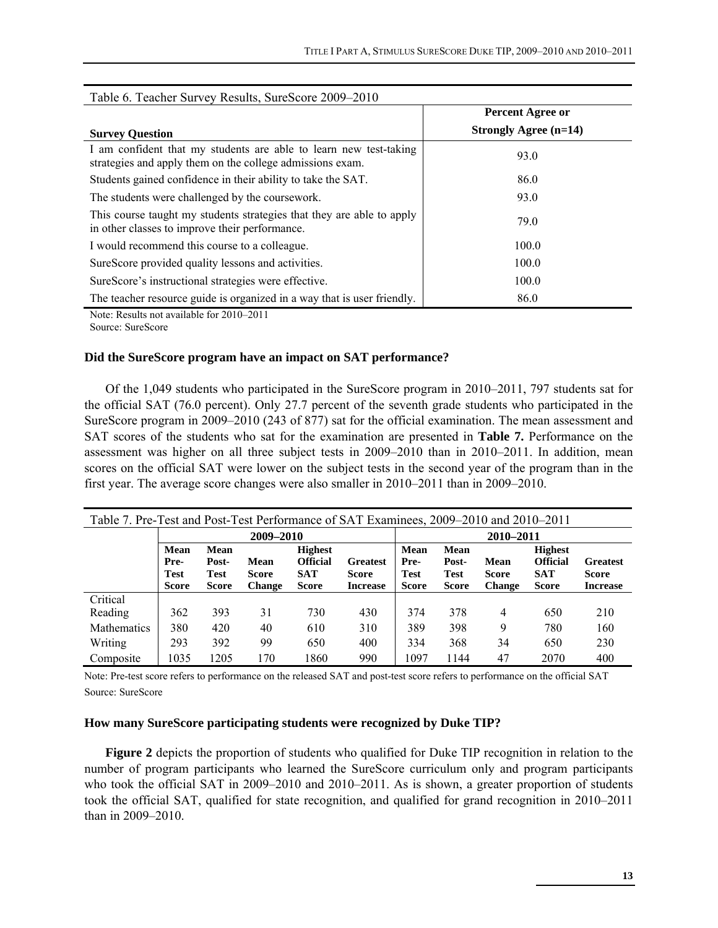| Table 6. Teacher Survey Results, SureScore 2009–2010                                                                           |                                           |  |  |  |  |  |  |
|--------------------------------------------------------------------------------------------------------------------------------|-------------------------------------------|--|--|--|--|--|--|
|                                                                                                                                | <b>Percent Agree or</b>                   |  |  |  |  |  |  |
| <b>Survey Question</b>                                                                                                         | <b>Strongly Agree <math>(n=14)</math></b> |  |  |  |  |  |  |
| I am confident that my students are able to learn new test-taking<br>strategies and apply them on the college admissions exam. | 93.0                                      |  |  |  |  |  |  |
| Students gained confidence in their ability to take the SAT.                                                                   | 86.0                                      |  |  |  |  |  |  |
| The students were challenged by the coursework.                                                                                | 93.0                                      |  |  |  |  |  |  |
| This course taught my students strategies that they are able to apply<br>in other classes to improve their performance.        | 79.0                                      |  |  |  |  |  |  |
| I would recommend this course to a colleague.                                                                                  | 100.0                                     |  |  |  |  |  |  |
| SureScore provided quality lessons and activities.                                                                             | 100.0                                     |  |  |  |  |  |  |
| SureScore's instructional strategies were effective.                                                                           | 100.0                                     |  |  |  |  |  |  |
| The teacher resource guide is organized in a way that is user friendly.                                                        | 86.0                                      |  |  |  |  |  |  |

Note: Results not available for 2010–2011

Source: SureScore

## **Did the SureScore program have an impact on SAT performance?**

Of the 1,049 students who participated in the SureScore program in 2010–2011, 797 students sat for the official SAT (76.0 percent). Only 27.7 percent of the seventh grade students who participated in the SureScore program in 2009–2010 (243 of 877) sat for the official examination. The mean assessment and SAT scores of the students who sat for the examination are presented in **Table 7.** Performance on the assessment was higher on all three subject tests in 2009–2010 than in 2010–2011. In addition, mean scores on the official SAT were lower on the subject tests in the second year of the program than in the first year. The average score changes were also smaller in 2010–2011 than in 2009–2010.

| Table 7. Pre-Test and Post-Test Performance of SAT Examinees, 2009–2010 and 2010–2011 |                             |                      |                               |                               |                                 |                     |                      |                               |                               |                                 |
|---------------------------------------------------------------------------------------|-----------------------------|----------------------|-------------------------------|-------------------------------|---------------------------------|---------------------|----------------------|-------------------------------|-------------------------------|---------------------------------|
|                                                                                       | 2009-2010                   |                      |                               |                               |                                 | 2010-2011           |                      |                               |                               |                                 |
|                                                                                       | <b>Mean</b>                 | Mean                 |                               | <b>Highest</b>                |                                 | Mean                | Mean                 |                               | <b>Highest</b>                |                                 |
|                                                                                       | Pre-                        | Post-<br><b>Test</b> | Mean                          | <b>Official</b><br><b>SAT</b> | <b>Greatest</b>                 | Pre-<br><b>Test</b> | Post-<br><b>Test</b> | Mean                          | <b>Official</b><br><b>SAT</b> | <b>Greatest</b>                 |
|                                                                                       | <b>Test</b><br><b>Score</b> | <b>Score</b>         | <b>Score</b><br><b>Change</b> | <b>Score</b>                  | <b>Score</b><br><b>Increase</b> | <b>Score</b>        | <b>Score</b>         | <b>Score</b><br><b>Change</b> | <b>Score</b>                  | <b>Score</b><br><b>Increase</b> |
| Critical                                                                              |                             |                      |                               |                               |                                 |                     |                      |                               |                               |                                 |
| Reading                                                                               | 362                         | 393                  | 31                            | 730                           | 430                             | 374                 | 378                  | 4                             | 650                           | 210                             |
| Mathematics                                                                           | 380                         | 420                  | 40                            | 610                           | 310                             | 389                 | 398                  | 9                             | 780                           | 160                             |
| Writing                                                                               | 293                         | 392                  | 99                            | 650                           | 400                             | 334                 | 368                  | 34                            | 650                           | 230                             |
| Composite                                                                             | 1035                        | 1205                 | 170                           | 1860                          | 990                             | 1097                | 1144                 | 47                            | 2070                          | 400                             |

Note: Pre-test score refers to performance on the released SAT and post-test score refers to performance on the official SAT Source: SureScore

## **How many SureScore participating students were recognized by Duke TIP?**

**Figure 2** depicts the proportion of students who qualified for Duke TIP recognition in relation to the number of program participants who learned the SureScore curriculum only and program participants who took the official SAT in 2009–2010 and 2010–2011. As is shown, a greater proportion of students took the official SAT, qualified for state recognition, and qualified for grand recognition in 2010–2011 than in 2009–2010.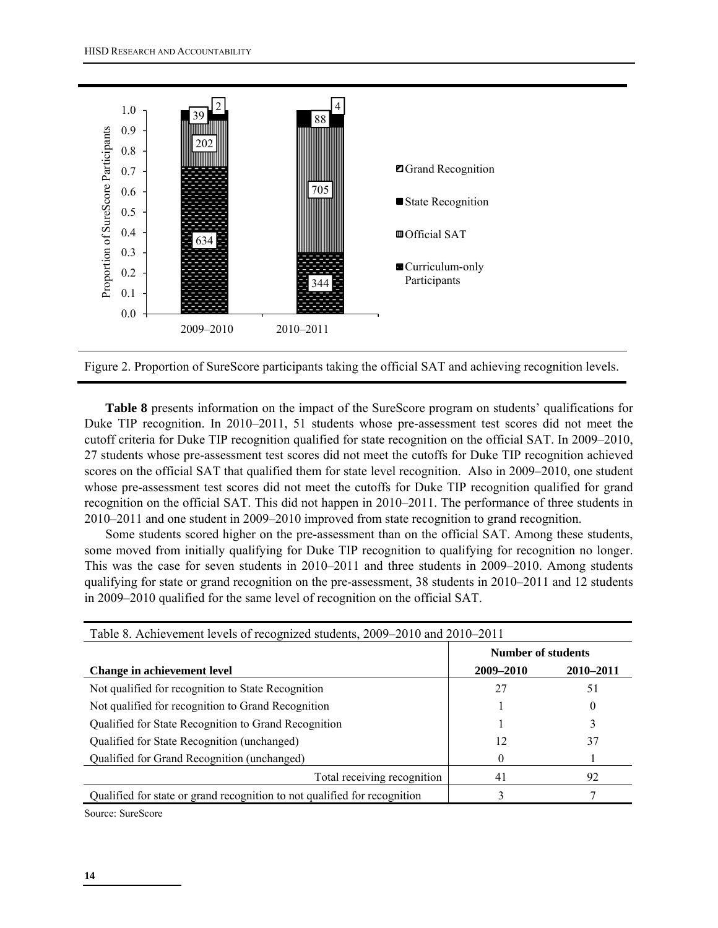



**Table 8** presents information on the impact of the SureScore program on students' qualifications for Duke TIP recognition. In 2010–2011, 51 students whose pre-assessment test scores did not meet the cutoff criteria for Duke TIP recognition qualified for state recognition on the official SAT. In 2009–2010, 27 students whose pre-assessment test scores did not meet the cutoffs for Duke TIP recognition achieved scores on the official SAT that qualified them for state level recognition. Also in 2009–2010, one student whose pre-assessment test scores did not meet the cutoffs for Duke TIP recognition qualified for grand recognition on the official SAT. This did not happen in 2010–2011. The performance of three students in 2010–2011 and one student in 2009–2010 improved from state recognition to grand recognition.

Some students scored higher on the pre-assessment than on the official SAT. Among these students, some moved from initially qualifying for Duke TIP recognition to qualifying for recognition no longer. This was the case for seven students in 2010–2011 and three students in 2009–2010. Among students qualifying for state or grand recognition on the pre-assessment, 38 students in 2010–2011 and 12 students in 2009–2010 qualified for the same level of recognition on the official SAT.

| Table 8. Achievement levels of recognized students, 2009-2010 and 2010-2011 |                           |           |  |  |  |  |
|-----------------------------------------------------------------------------|---------------------------|-----------|--|--|--|--|
|                                                                             | <b>Number of students</b> |           |  |  |  |  |
| Change in achievement level                                                 | 2009-2010                 | 2010-2011 |  |  |  |  |
| Not qualified for recognition to State Recognition                          | 27                        | 51        |  |  |  |  |
| Not qualified for recognition to Grand Recognition                          |                           | $\Omega$  |  |  |  |  |
| Qualified for State Recognition to Grand Recognition                        |                           |           |  |  |  |  |
| Qualified for State Recognition (unchanged)                                 | 12                        | 37        |  |  |  |  |
| Qualified for Grand Recognition (unchanged)                                 |                           |           |  |  |  |  |
| Total receiving recognition                                                 | 41                        | 92        |  |  |  |  |
| Qualified for state or grand recognition to not qualified for recognition   |                           |           |  |  |  |  |

Source: SureScore